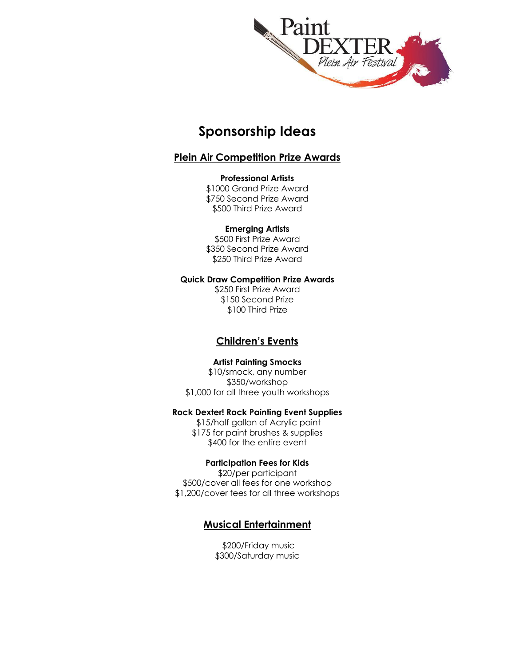

## **Sponsorship Ideas**

### **Plein Air Competition Prize Awards**

#### **Professional Artists**

\$1000 Grand Prize Award \$750 Second Prize Award \$500 Third Prize Award

### **Emerging Artists**

\$500 First Prize Award \$350 Second Prize Award \$250 Third Prize Award

#### **Quick Draw Competition Prize Awards**

\$250 First Prize Award \$150 Second Prize \$100 Third Prize

### **Children's Events**

### **Artist Painting Smocks**

\$10/smock, any number \$350/workshop \$1,000 for all three youth workshops

### **Rock Dexter! Rock Painting Event Supplies**

\$15/half gallon of Acrylic paint \$175 for paint brushes & supplies \$400 for the entire event

### **Participation Fees for Kids**

\$20/per participant \$500/cover all fees for one workshop \$1,200/cover fees for all three workshops

### **Musical Entertainment**

\$200/Friday music \$300/Saturday music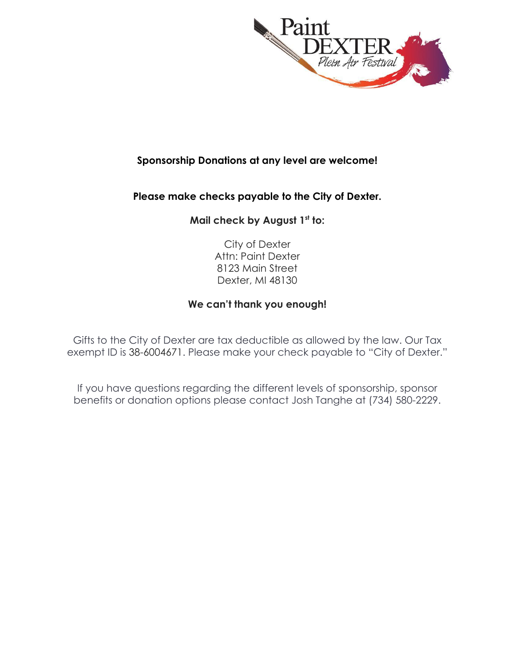

### **Sponsorship Donations at any level are welcome!**

### **Please make checks payable to the City of Dexter.**

### **Mail check by August 1st to:**

City of Dexter Attn: Paint Dexter 8123 Main Street Dexter, MI 48130

### **We can't thank you enough!**

Gifts to the City of Dexter are tax deductible as allowed by the law. Our Tax exempt ID is 38-6004671. Please make your check payable to "City of Dexter."

If you have questions regarding the different levels of sponsorship, sponsor benefits or donation options please contact Josh Tanghe at (734) 580-2229.